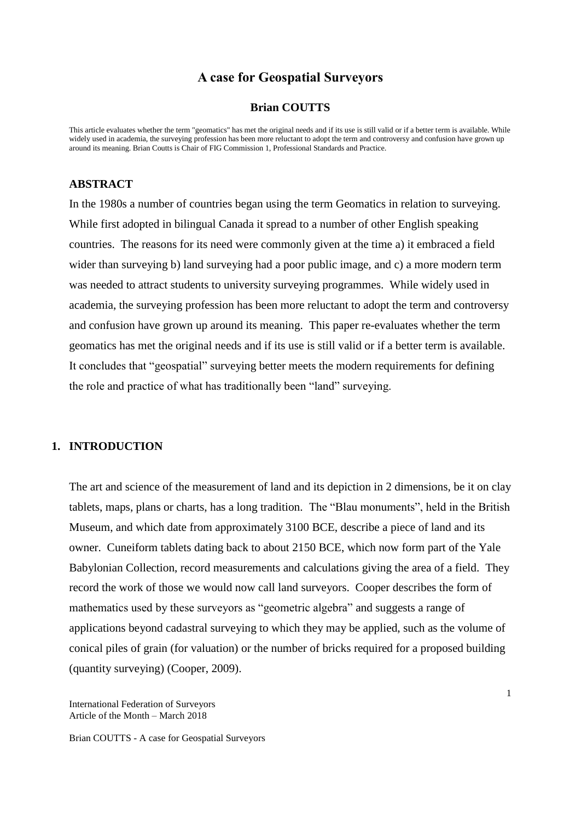# **A case for Geospatial Surveyors**

#### **Brian COUTTS**

This article evaluates whether the term "geomatics" has met the original needs and if its use is still valid or if a better term is available. While widely used in academia, the surveying profession has been more reluctant to adopt the term and controversy and confusion have grown up around its meaning. Brian Coutts is Chair of FIG Commission 1, Professional Standards and Practice.

### **ABSTRACT**

In the 1980s a number of countries began using the term Geomatics in relation to surveying. While first adopted in bilingual Canada it spread to a number of other English speaking countries. The reasons for its need were commonly given at the time a) it embraced a field wider than surveying b) land surveying had a poor public image, and c) a more modern term was needed to attract students to university surveying programmes. While widely used in academia, the surveying profession has been more reluctant to adopt the term and controversy and confusion have grown up around its meaning. This paper re-evaluates whether the term geomatics has met the original needs and if its use is still valid or if a better term is available. It concludes that "geospatial" surveying better meets the modern requirements for defining the role and practice of what has traditionally been "land" surveying.

#### **1. INTRODUCTION**

The art and science of the measurement of land and its depiction in 2 dimensions, be it on clay tablets, maps, plans or charts, has a long tradition. The "Blau monuments", held in the British Museum, and which date from approximately 3100 BCE, describe a piece of land and its owner. Cuneiform tablets dating back to about 2150 BCE, which now form part of the Yale Babylonian Collection, record measurements and calculations giving the area of a field. They record the work of those we would now call land surveyors. Cooper describes the form of mathematics used by these surveyors as "geometric algebra" and suggests a range of applications beyond cadastral surveying to which they may be applied, such as the volume of conical piles of grain (for valuation) or the number of bricks required for a proposed building (quantity surveying) (Cooper, 2009).

International Federation of Surveyors Article of the Month – March 2018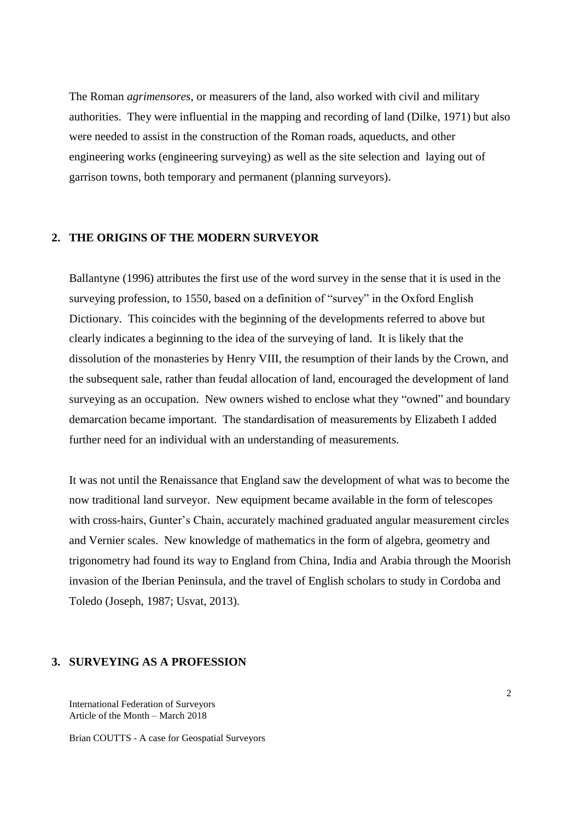The Roman *agrimensores*, or measurers of the land, also worked with civil and military authorities. They were influential in the mapping and recording of land (Dilke, 1971) but also were needed to assist in the construction of the Roman roads, aqueducts, and other engineering works (engineering surveying) as well as the site selection and laying out of garrison towns, both temporary and permanent (planning surveyors).

#### **2. THE ORIGINS OF THE MODERN SURVEYOR**

Ballantyne (1996) attributes the first use of the word survey in the sense that it is used in the surveying profession, to 1550, based on a definition of "survey" in the Oxford English Dictionary. This coincides with the beginning of the developments referred to above but clearly indicates a beginning to the idea of the surveying of land. It is likely that the dissolution of the monasteries by Henry VIII, the resumption of their lands by the Crown, and the subsequent sale, rather than feudal allocation of land, encouraged the development of land surveying as an occupation. New owners wished to enclose what they "owned" and boundary demarcation became important. The standardisation of measurements by Elizabeth I added further need for an individual with an understanding of measurements.

It was not until the Renaissance that England saw the development of what was to become the now traditional land surveyor. New equipment became available in the form of telescopes with cross-hairs, Gunter's Chain, accurately machined graduated angular measurement circles and Vernier scales. New knowledge of mathematics in the form of algebra, geometry and trigonometry had found its way to England from China, India and Arabia through the Moorish invasion of the Iberian Peninsula, and the travel of English scholars to study in Cordoba and Toledo (Joseph, 1987; Usvat, 2013).

### **3. SURVEYING AS A PROFESSION**

International Federation of Surveyors Article of the Month – March 2018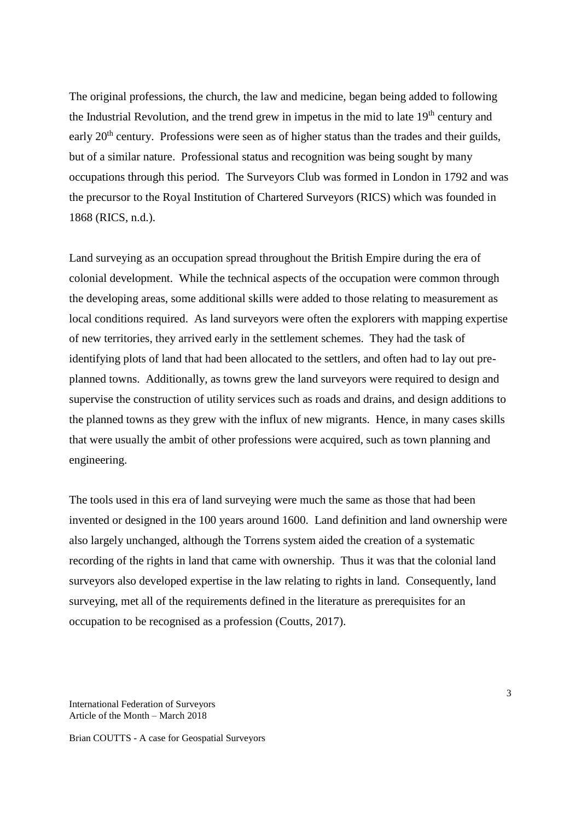The original professions, the church, the law and medicine, began being added to following the Industrial Revolution, and the trend grew in impetus in the mid to late  $19<sup>th</sup>$  century and early 20<sup>th</sup> century. Professions were seen as of higher status than the trades and their guilds, but of a similar nature. Professional status and recognition was being sought by many occupations through this period. The Surveyors Club was formed in London in 1792 and was the precursor to the Royal Institution of Chartered Surveyors (RICS) which was founded in 1868 (RICS, n.d.).

Land surveying as an occupation spread throughout the British Empire during the era of colonial development. While the technical aspects of the occupation were common through the developing areas, some additional skills were added to those relating to measurement as local conditions required. As land surveyors were often the explorers with mapping expertise of new territories, they arrived early in the settlement schemes. They had the task of identifying plots of land that had been allocated to the settlers, and often had to lay out preplanned towns. Additionally, as towns grew the land surveyors were required to design and supervise the construction of utility services such as roads and drains, and design additions to the planned towns as they grew with the influx of new migrants. Hence, in many cases skills that were usually the ambit of other professions were acquired, such as town planning and engineering.

The tools used in this era of land surveying were much the same as those that had been invented or designed in the 100 years around 1600. Land definition and land ownership were also largely unchanged, although the Torrens system aided the creation of a systematic recording of the rights in land that came with ownership. Thus it was that the colonial land surveyors also developed expertise in the law relating to rights in land. Consequently, land surveying, met all of the requirements defined in the literature as prerequisites for an occupation to be recognised as a profession (Coutts, 2017).

International Federation of Surveyors Article of the Month – March 2018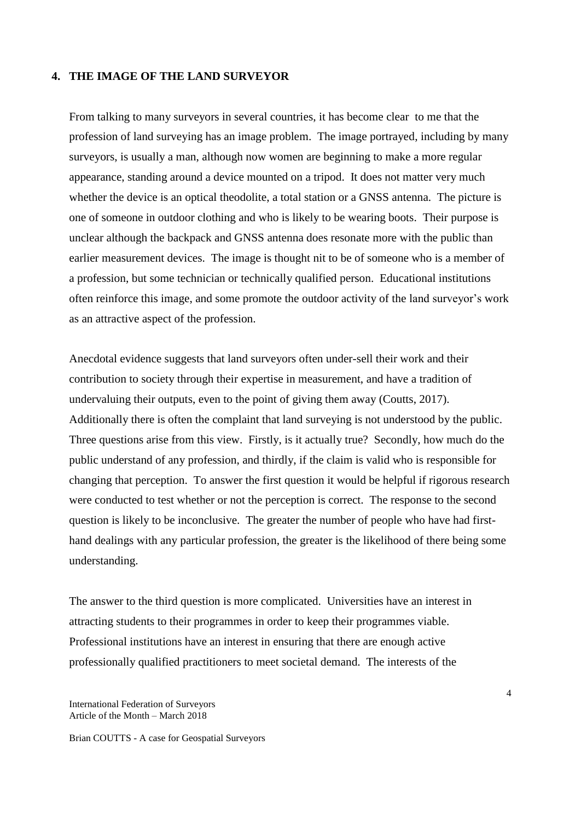### **4. THE IMAGE OF THE LAND SURVEYOR**

From talking to many surveyors in several countries, it has become clear to me that the profession of land surveying has an image problem. The image portrayed, including by many surveyors, is usually a man, although now women are beginning to make a more regular appearance, standing around a device mounted on a tripod. It does not matter very much whether the device is an optical theodolite, a total station or a GNSS antenna. The picture is one of someone in outdoor clothing and who is likely to be wearing boots. Their purpose is unclear although the backpack and GNSS antenna does resonate more with the public than earlier measurement devices. The image is thought nit to be of someone who is a member of a profession, but some technician or technically qualified person. Educational institutions often reinforce this image, and some promote the outdoor activity of the land surveyor's work as an attractive aspect of the profession.

Anecdotal evidence suggests that land surveyors often under-sell their work and their contribution to society through their expertise in measurement, and have a tradition of undervaluing their outputs, even to the point of giving them away (Coutts, 2017). Additionally there is often the complaint that land surveying is not understood by the public. Three questions arise from this view. Firstly, is it actually true? Secondly, how much do the public understand of any profession, and thirdly, if the claim is valid who is responsible for changing that perception. To answer the first question it would be helpful if rigorous research were conducted to test whether or not the perception is correct. The response to the second question is likely to be inconclusive. The greater the number of people who have had firsthand dealings with any particular profession, the greater is the likelihood of there being some understanding.

The answer to the third question is more complicated. Universities have an interest in attracting students to their programmes in order to keep their programmes viable. Professional institutions have an interest in ensuring that there are enough active professionally qualified practitioners to meet societal demand. The interests of the

International Federation of Surveyors Article of the Month – March 2018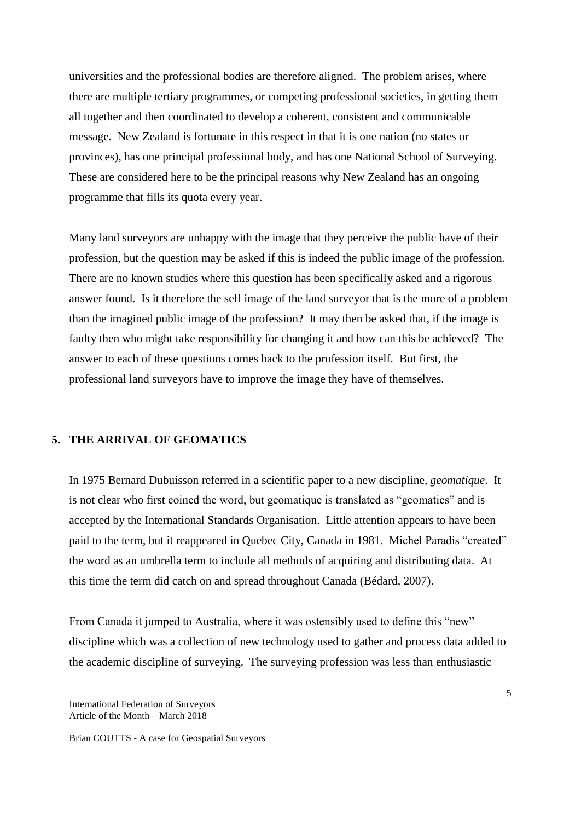universities and the professional bodies are therefore aligned. The problem arises, where there are multiple tertiary programmes, or competing professional societies, in getting them all together and then coordinated to develop a coherent, consistent and communicable message. New Zealand is fortunate in this respect in that it is one nation (no states or provinces), has one principal professional body, and has one National School of Surveying. These are considered here to be the principal reasons why New Zealand has an ongoing programme that fills its quota every year.

Many land surveyors are unhappy with the image that they perceive the public have of their profession, but the question may be asked if this is indeed the public image of the profession. There are no known studies where this question has been specifically asked and a rigorous answer found. Is it therefore the self image of the land surveyor that is the more of a problem than the imagined public image of the profession? It may then be asked that, if the image is faulty then who might take responsibility for changing it and how can this be achieved? The answer to each of these questions comes back to the profession itself. But first, the professional land surveyors have to improve the image they have of themselves.

### **5. THE ARRIVAL OF GEOMATICS**

In 1975 Bernard Dubuisson referred in a scientific paper to a new discipline, *geomatique*. It is not clear who first coined the word, but geomatique is translated as "geomatics" and is accepted by the International Standards Organisation. Little attention appears to have been paid to the term, but it reappeared in Quebec City, Canada in 1981. Michel Paradis "created" the word as an umbrella term to include all methods of acquiring and distributing data. At this time the term did catch on and spread throughout Canada (Bédard, 2007).

From Canada it jumped to Australia, where it was ostensibly used to define this "new" discipline which was a collection of new technology used to gather and process data added to the academic discipline of surveying. The surveying profession was less than enthusiastic

International Federation of Surveyors Article of the Month – March 2018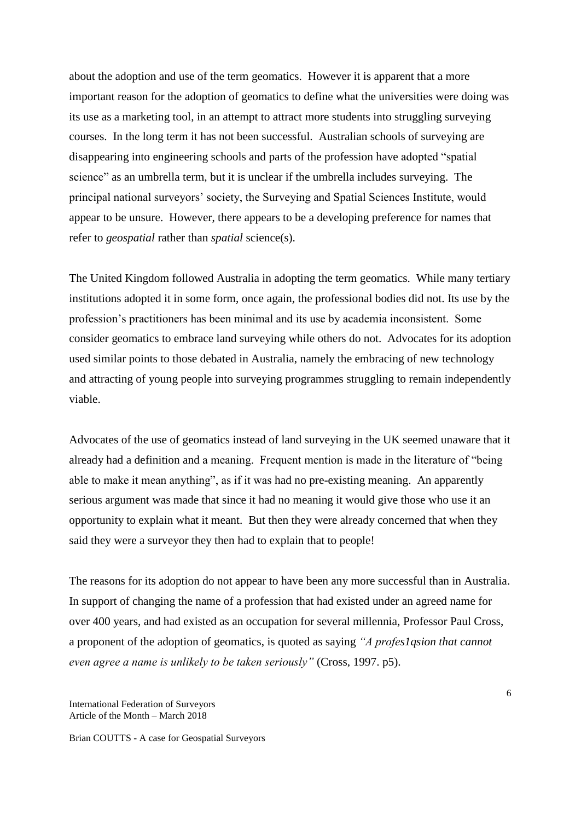about the adoption and use of the term geomatics. However it is apparent that a more important reason for the adoption of geomatics to define what the universities were doing was its use as a marketing tool, in an attempt to attract more students into struggling surveying courses. In the long term it has not been successful. Australian schools of surveying are disappearing into engineering schools and parts of the profession have adopted "spatial science" as an umbrella term, but it is unclear if the umbrella includes surveying. The principal national surveyors' society, the Surveying and Spatial Sciences Institute, would appear to be unsure. However, there appears to be a developing preference for names that refer to *geospatial* rather than *spatial* science(s).

The United Kingdom followed Australia in adopting the term geomatics. While many tertiary institutions adopted it in some form, once again, the professional bodies did not. Its use by the profession's practitioners has been minimal and its use by academia inconsistent. Some consider geomatics to embrace land surveying while others do not. Advocates for its adoption used similar points to those debated in Australia, namely the embracing of new technology and attracting of young people into surveying programmes struggling to remain independently viable.

Advocates of the use of geomatics instead of land surveying in the UK seemed unaware that it already had a definition and a meaning. Frequent mention is made in the literature of "being able to make it mean anything", as if it was had no pre-existing meaning. An apparently serious argument was made that since it had no meaning it would give those who use it an opportunity to explain what it meant. But then they were already concerned that when they said they were a surveyor they then had to explain that to people!

The reasons for its adoption do not appear to have been any more successful than in Australia. In support of changing the name of a profession that had existed under an agreed name for over 400 years, and had existed as an occupation for several millennia, Professor Paul Cross, a proponent of the adoption of geomatics, is quoted as saying *"A profes1qsion that cannot even agree a name is unlikely to be taken seriously"* (Cross, 1997. p5).

International Federation of Surveyors Article of the Month – March 2018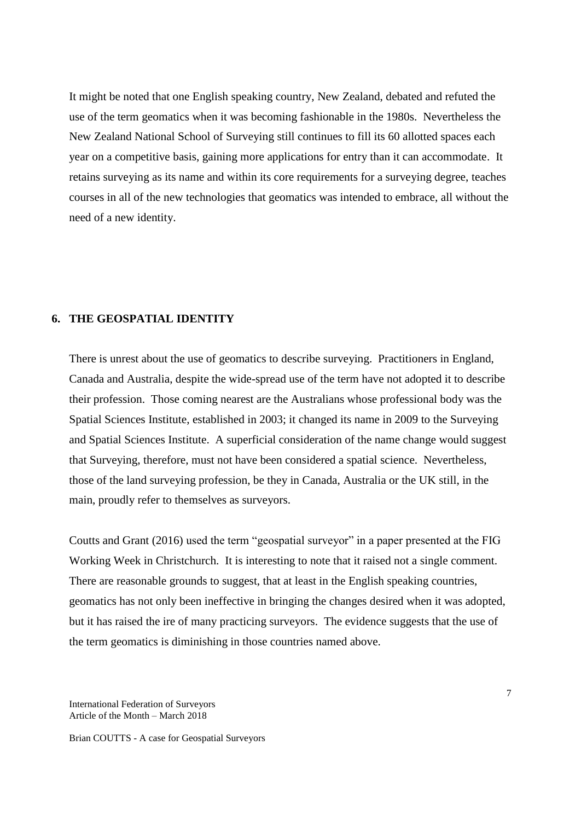It might be noted that one English speaking country, New Zealand, debated and refuted the use of the term geomatics when it was becoming fashionable in the 1980s. Nevertheless the New Zealand National School of Surveying still continues to fill its 60 allotted spaces each year on a competitive basis, gaining more applications for entry than it can accommodate. It retains surveying as its name and within its core requirements for a surveying degree, teaches courses in all of the new technologies that geomatics was intended to embrace, all without the need of a new identity.

# **6. THE GEOSPATIAL IDENTITY**

There is unrest about the use of geomatics to describe surveying. Practitioners in England, Canada and Australia, despite the wide-spread use of the term have not adopted it to describe their profession. Those coming nearest are the Australians whose professional body was the Spatial Sciences Institute, established in 2003; it changed its name in 2009 to the Surveying and Spatial Sciences Institute. A superficial consideration of the name change would suggest that Surveying, therefore, must not have been considered a spatial science. Nevertheless, those of the land surveying profession, be they in Canada, Australia or the UK still, in the main, proudly refer to themselves as surveyors.

Coutts and Grant (2016) used the term "geospatial surveyor" in a paper presented at the FIG Working Week in Christchurch. It is interesting to note that it raised not a single comment. There are reasonable grounds to suggest, that at least in the English speaking countries, geomatics has not only been ineffective in bringing the changes desired when it was adopted, but it has raised the ire of many practicing surveyors. The evidence suggests that the use of the term geomatics is diminishing in those countries named above.

International Federation of Surveyors Article of the Month – March 2018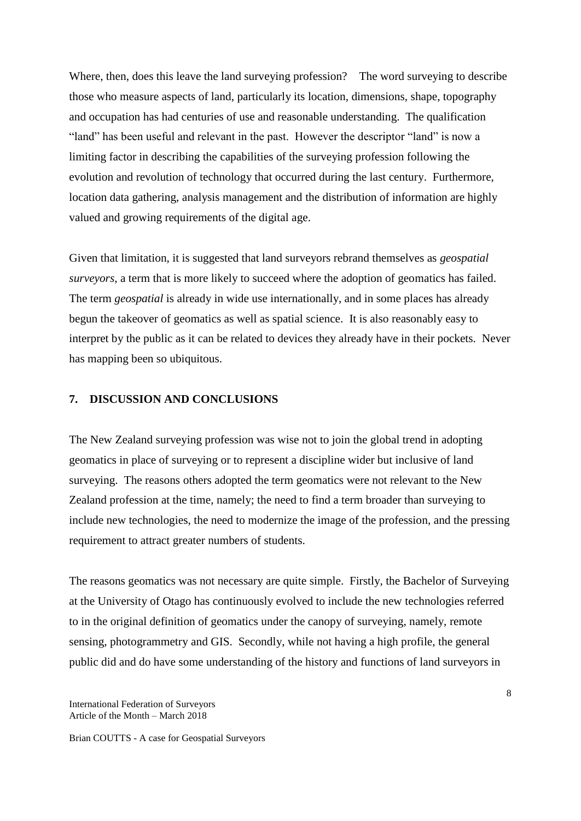Where, then, does this leave the land surveying profession? The word surveying to describe those who measure aspects of land, particularly its location, dimensions, shape, topography and occupation has had centuries of use and reasonable understanding. The qualification "land" has been useful and relevant in the past. However the descriptor "land" is now a limiting factor in describing the capabilities of the surveying profession following the evolution and revolution of technology that occurred during the last century. Furthermore, location data gathering, analysis management and the distribution of information are highly valued and growing requirements of the digital age.

Given that limitation, it is suggested that land surveyors rebrand themselves as *geospatial surveyors*, a term that is more likely to succeed where the adoption of geomatics has failed. The term *geospatial* is already in wide use internationally, and in some places has already begun the takeover of geomatics as well as spatial science. It is also reasonably easy to interpret by the public as it can be related to devices they already have in their pockets. Never has mapping been so ubiquitous.

## **7. DISCUSSION AND CONCLUSIONS**

The New Zealand surveying profession was wise not to join the global trend in adopting geomatics in place of surveying or to represent a discipline wider but inclusive of land surveying. The reasons others adopted the term geomatics were not relevant to the New Zealand profession at the time, namely; the need to find a term broader than surveying to include new technologies, the need to modernize the image of the profession, and the pressing requirement to attract greater numbers of students.

The reasons geomatics was not necessary are quite simple. Firstly, the Bachelor of Surveying at the University of Otago has continuously evolved to include the new technologies referred to in the original definition of geomatics under the canopy of surveying, namely, remote sensing, photogrammetry and GIS. Secondly, while not having a high profile, the general public did and do have some understanding of the history and functions of land surveyors in

International Federation of Surveyors Article of the Month – March 2018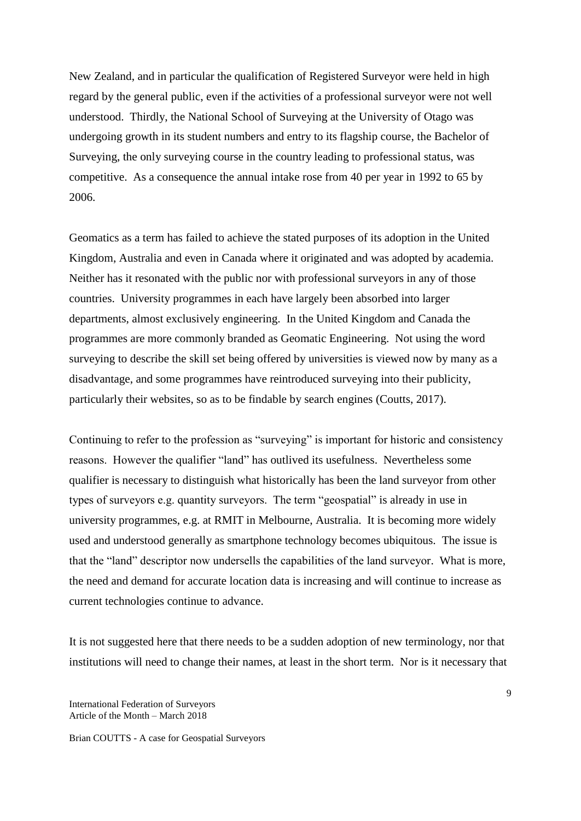New Zealand, and in particular the qualification of Registered Surveyor were held in high regard by the general public, even if the activities of a professional surveyor were not well understood. Thirdly, the National School of Surveying at the University of Otago was undergoing growth in its student numbers and entry to its flagship course, the Bachelor of Surveying, the only surveying course in the country leading to professional status, was competitive. As a consequence the annual intake rose from 40 per year in 1992 to 65 by 2006.

Geomatics as a term has failed to achieve the stated purposes of its adoption in the United Kingdom, Australia and even in Canada where it originated and was adopted by academia. Neither has it resonated with the public nor with professional surveyors in any of those countries. University programmes in each have largely been absorbed into larger departments, almost exclusively engineering. In the United Kingdom and Canada the programmes are more commonly branded as Geomatic Engineering. Not using the word surveying to describe the skill set being offered by universities is viewed now by many as a disadvantage, and some programmes have reintroduced surveying into their publicity, particularly their websites, so as to be findable by search engines (Coutts, 2017).

Continuing to refer to the profession as "surveying" is important for historic and consistency reasons. However the qualifier "land" has outlived its usefulness. Nevertheless some qualifier is necessary to distinguish what historically has been the land surveyor from other types of surveyors e.g. quantity surveyors. The term "geospatial" is already in use in university programmes, e.g. at RMIT in Melbourne, Australia. It is becoming more widely used and understood generally as smartphone technology becomes ubiquitous. The issue is that the "land" descriptor now undersells the capabilities of the land surveyor. What is more, the need and demand for accurate location data is increasing and will continue to increase as current technologies continue to advance.

It is not suggested here that there needs to be a sudden adoption of new terminology, nor that institutions will need to change their names, at least in the short term. Nor is it necessary that

International Federation of Surveyors Article of the Month – March 2018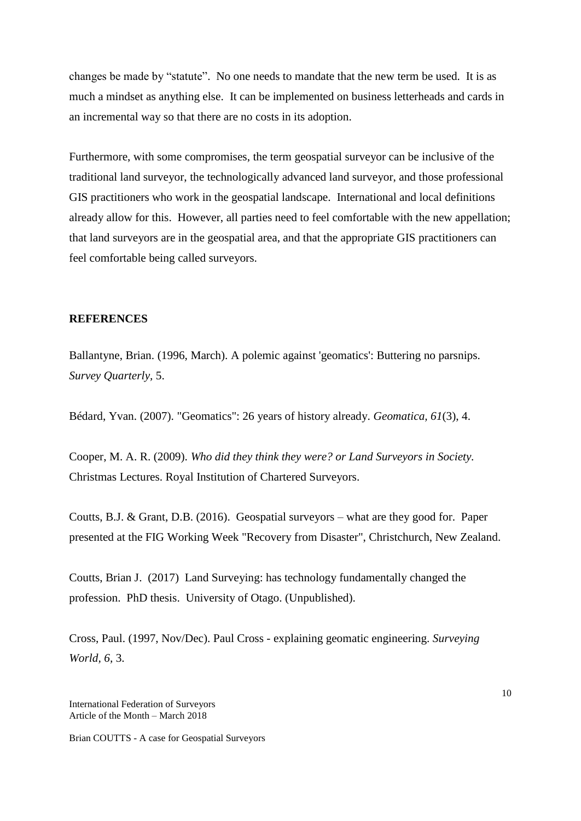changes be made by "statute". No one needs to mandate that the new term be used. It is as much a mindset as anything else. It can be implemented on business letterheads and cards in an incremental way so that there are no costs in its adoption.

Furthermore, with some compromises, the term geospatial surveyor can be inclusive of the traditional land surveyor, the technologically advanced land surveyor, and those professional GIS practitioners who work in the geospatial landscape. International and local definitions already allow for this. However, all parties need to feel comfortable with the new appellation; that land surveyors are in the geospatial area, and that the appropriate GIS practitioners can feel comfortable being called surveyors.

#### **REFERENCES**

Ballantyne, Brian. (1996, March). A polemic against 'geomatics': Buttering no parsnips. *Survey Quarterly,* 5.

Bédard, Yvan. (2007). "Geomatics": 26 years of history already. *Geomatica, 61*(3), 4.

Cooper, M. A. R. (2009). *Who did they think they were? or Land Surveyors in Society.* Christmas Lectures. Royal Institution of Chartered Surveyors.

Coutts, B.J. & Grant, D.B. (2016). Geospatial surveyors – what are they good for. Paper presented at the FIG Working Week "Recovery from Disaster", Christchurch, New Zealand.

Coutts, Brian J. (2017) Land Surveying: has technology fundamentally changed the profession. PhD thesis. University of Otago. (Unpublished).

Cross, Paul. (1997, Nov/Dec). Paul Cross - explaining geomatic engineering. *Surveying World, 6,* 3.

International Federation of Surveyors Article of the Month – March 2018